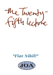

# *"Fiat Nihil!"*

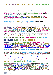### But refusal was followed by Acts of Design.

**Bands of polished black and grey stone were installed around the ragged edges of the floor and around each individual column footprint. Instead of the lively rippling of the original design, which even the dullest iconic illiterate might identify as 'watery', the Client Body design flooded the floor with the uniformity of 'Carrara 'C'. This blurry grey marble was then carefully bordered, like an infant tracing an outline, by a double band. The first was of Nero Marquinia, an inexpensive black marble, pleasantly inscribed with thin white veins, that I had already specified. The second ring was of a densely black granite which was given the brilliantly imperishable polish that only such stones obtain. This was a more costly stone than any I had proposed. It gripped, like a black fist, whatever was found rising vertically out of my mortified floor.**

I not only use marbles because they come in a variety of colours, but because their veining inscribes them with an evidence of their history as that of sedimentary oolites who were then metamorphosed and invaded by later infusions.

#### They are a stone that has been 'written' **- even if only by the careless hand of a Nature void of any intent to communicate.**

**Dense black granite is a stone entirely without either figure or hue. Not only did it well represent the iconoclastic ambitions of my Client Body, but it added that quality I have described, on pags 24-07 to 24-09, as 'stocking-mask' and 'face-lift'. Granite is a material that never grows old - showing so few of the marks of time that it obtained the approval of the Ancient Egyptians in their futile pursuit of the life everlasting. Marbles, on the other hand, scuff a little and even fade. They are softer, adjusting themselves amiably to the blows of fate without pretending to offer that fraudulent refusal to the dimension of time promised by the 'forever new' of cryogenesis and plastic surgery.**

Nothing 'scripted' now remained on the interior save a variety of vinyl distempers whose hues had all been subtly altered to bring them to accord with a quality acerbicly described as "Nursery" - by a European Visitor of greater sophisication than my 'Client Body).

### It was too late to erase the iconic scripting of the exterior.

### **It had all been built.** But the gardening remained.

**This part of the lifespace, still hubristically described as 'Landscaping' (after the gigantic works of 'Mr. Brown's' navvies turned cultivated fields into the pretence of a 'Nature' populated by Antique Heroes and Milkmaids), is all-too-often left until it is too late to grow anything of 'architectural' stature. Gardens should always be started in advance of construction. JOA showed, in Harp Heating, how to build inside a mature garden. If trees are planted in hypostylar arrays then whether they are trees or columns makes no difference to the conceptual landscape.** 

## But the garden is dear too, to the English.

**The Client body gave Robert Holden, our cultivated, experienced and imaginative Garden-Designer, a hard time when it was discovered that his planting scheme included plants that were not native to England. This 'horticultural racism' put me in mind of a contemporary commonplace where the English Consumer will shop for food that is delivered frozen, cleaned, and shrinkwrapped from around the globe. Next to this out-of-town supermarket, the Consumer will load-up with inedible flowering plants, with real earth on their roots, from an even larger 'gardening centre'. A long-standing English illiteracy concerning food, that is only now beginning to change, has been associated with the purely symbolic cultivation of 'gardens' that were never anything less than an important part of the public rites of 'being English'.**

### So what were these immemorial lawns of the Cambridge 'backs'?

**My first visit revealed the river Cam, as a docile body of water, barely twelve metres across, sunk deeply into rounded banks of close-cropped grass. Undergraduates punted their supine cargoes at a leisurely pace. They appeared as explorers, issuing from a flood darkened by giant forest trees. In floppy khaki hats, and camouflaged combat fatigues, torn jeans and over-hanging shirts, they seemed part refugees, part adventurers from some 'other' place. Yet they were not alone, for in certain places, scattered upon the banks, lay others of their kind. It was like a field of battle, No one was left standing amongst the roughly-accoutred combatants. Carrying my investigations further I noted that wherever an undergraduate found grass, both he and she would sit down and, very soon, lie down upon it.**

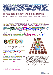**There were, however, certain turfs upon which no-one, except the members of an intellectual elite, were allowed to tread at all. These were enclosed inside the colleges and lay, like the pristine surface of a bowling green, guarded by the columns of gothic cloisters. The only gardens, as such, to be found in collegiate Cambridge were reserved to the private dwellings of the College Masters. It seemed to me that the culture of the 'green places' of Cambridge was an extension of that Saxon antipathy to the urbane that had marked their taboo upon the Romano-British culture that the rusticating German invaders deliberately destroyed. When grass floored a public place one either tried to make oneself socially invisible, by lying down, or accepted that it was not for any human use at all.**

### Grass was a taboo laid upon public space to forbid it to the social cult of urbanity.

#### So I took against this miasma of lawns.

both because it was Saxon, and because to be human is not to lie like some primordial fish horizontal in the slime of prehistoric millenia. To be human is to stand upright and to use one's faculties for their uniquely conceptual capabilities.

Moreover, the Institute of Management was exploring the idea that management should be understood as 'theatre'. The old Hospital suited this ambition. For it was an 'old' civic building with a huge forecourt that allowed it to thearically *monstrare* its gigantic fac(e)ade to the street.

**I designed the forecourt as a paved garden, centred on a stone floor surrounded by seats backedup by flowers and hedges. To sit is, if not as noble as standing, at least less ignoble than lying down. Besides for a 'plaza' to be lined by sitters is to provide the erect with Spectators. I did, in fact, make a modest strip of lawn. But it lay outside this theatre, behind the hedges, near the bicycle-parking sheds, where one might collapse, if one must, in decent obscurity.**

### I aimed to give this plaza-garden the 'tragic' structure of a 'plot'. -with a beginning, middle and end -



*The shape of a reversible narrative tends to Nothing at the beginning and end of either direction while creating a 'space of appearances', a 'plaza', in its middle.* 

#### whether coming off the street or leaving the building. **But how could this reversible emplotment be configured?**

### **How could an end also be a beginning, and vice versa? Can a 'plot' have two endings and two beginnings - both of them interchangeable?**

**The syntax of a reversible narrative - so common in architectural space, took on the semantic of a boat. Like one of those ferries that chugs back and forth actoss a river, its prow and stern are interchangeable. Either of them parts the flood only for the water to close again behind, never remembering anything of the passage of the craft.** 



*When is a beginning and end and an end a beginning? The answer is when it is a narrative rehearsed from building to street and then street to building. More importantly, it is when these termini 'close' like doors, upon their 'history' while leaving what they traversed, their middle ground, their arboreal 'trunk', swollen with a spatial amplitude sufficient to accommodate the urbane theatre of a social cult whch may, or as easily may not, reverberate with their inscribed narrations. They are like beads on a necklace whose meanings may be patent, or merely murmured below the breath. At least they will be filled with the airs of speech and the speech of manifested airs.*

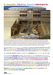### I made three boat-shapes.



*Coming from Trumpington street one crossed, on a small bridge, a boat filled with water. This water flows from 'Hobson's Conduit, down each side of the street, even today. It would be very shallow, but, flowing over a black bottom, seem deep. The middle part was tripartite with two ends and a centre where paths led out sideways to the bicycle parking sheds - designed to keep one's saddle dry. The whole was shaped by raised flower-beds. Their masonry retaining walls were topped by a bench of planks. These dry more quickly than stone. A topiary hedge, behnid the beds, cut down the wind. Four, more secluded, semi-circular 'exedrae' bracketed the whole like columns.*

**The first I could fill with the spring-water of Hobson's Conduit that still flowed, physically, down both sides of Trumpington Steet. Hobson had been an inn-keeper who always gave his guests a worse horse if they refused his first offer - hence 'Hobson's Choice'. The street is the 'infinite net' whose sign is water. Here it is also the serpentine semantic of the Oceanic terminus of any 'istoria' of somatic space.**

#### No iconically literate culture would ever substitute the referent for the sign.

**Swift satirised the philosopers of Laputa, who carried heavy sacks of referents to save wearingout their lungs with speech. What would he have made of Architects like Mies and Ando? Placing my water inside a boat-shape at least saves it from the Corbusian kitsch of being a "rushing river". Is one crossing Okeanos in a boat, or are these two sinuous sides in some way trying to 'copulate'? I would place 'alpha and omega' sculptures at its interchangeable prow and stern.**

**The second boat-shape is the centre of the 'emplotted' triad. It is divided by a path to the bicycle sheds. Four smaller 'bowers' lead off two larger 'plazas'. All are lined with dwarf stone walls holding raised planting beds. The University promised these to the Warden for an hostel for disabled students so that they could be closer to plants. Some of these low walls are surmounted with slatted benches made of oiled wood -which dries easily after rain. The beds are backed by topiary hedges. These repeat the footprint of the walls, sheltering sitters from the wind.**

### Behind these a lawn is banished to a proper privacy. Here the recumbent may disport their tired, ignoble, self-image.

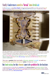# Stuffy Conferences need to 'break' into freshair.

**So the final space, again boat-shaped, and against the ground floor arcade, was merely paved. Apart from being capable of receiving a sudden flood of 'break-outers', it had to bear a fire engine and allow it room to manoeuvre.**



*The 'space of appearances' is theatrically manifested as carved out of and shaped by stone walls, clipped hedges and flowering plants. Its floor is paved with iconic patterns and inscriptins. It is a theatre on which humans can properly 'be'. It is a framework on whch sculptures, lighting and any other inscriptive media can be both 'hung' as well as 'steadied' so that their conceptual body can intersect with the corpus of quotidian space.* 

**Ways of 'inscribing' these spaces, with plants, pavings and sculptures sprang easily to mind. They provided a structure to the 'discoursings' that any iconically-literate lifespace-design culture could deploy.**

This was a garden that was both a flowery, planted 'arcadia' as well as a hard-floored, benched and paved 'plaza'. It was no 'Lawn'.

# But fund-raising for this element came to be prohibited by the Institute.

**I understood that it could affect the reputation of the Business School for fiduciary sobriety if they sought funding for 'luxuries'. But this was to misunderstand both the culture of the English, and the psyche of the 'Patron'. The patron wants to show off his act of charitable munificence to the World so that it sheds lustre upon him and his family.**

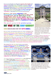**It is no secret that the one thing the majority of the English will admire is a beautiful garden. The 'garden' is almost a national symbol. A screen of carefully-tended flowering plants is the favoured greeting in the hallways of many of our most prominent institutions. They proclaims a subscription to the verdant mythos of the Island Albion. It is even a sign of a sincere subscription to the solid virtues of Capital and an honest abjuration of 'expenditure', when these blooms are of undying plastic.** 

#### In Bruges, one of the wellsprings of the

Netherlandish capitalism that irrigated what would eventually grow into the global forests of the British Empire, there are two, equally extensive, equally polychromatic, flower-markets. One of them is entirely of plastic blooms. The plastic tulip is the talisman, the secret sign, of a commitment to Capital over Expenditure.

The plastic peony is the prudent peony.

# **BUT WHAT OF THE ROOF-GARDEN?**

### SENECA HAD DECLARED THAT THEY SAPPED MORALS.

**BUT AT LEAST THE ROMANS KNEW OF THEM, WHEREAS THE NORDICS NEVER LEFT THE GROUND AT ALL. It could be one of the reasons that Camillo Sitte never maDe sense of Alberti's curious strategy of entombing**

**the 'new ANTIQUITY' under the EXISTING FABRIC SO AS to make it seem as ANCIENT as 'THE AGE OF GOLD' -** IN ILLO TEMPORE. **THE ROOF GARDEN, ACCORDING TO MY ANALYSIS PRESENTED IN 'Babuino', LECTURE NO. 07, pages 04-15, WAS USEFUL TO ALBERTI'S PROJECT. LIKE THE WEEDS THAT FRINGE THE TOPS OF RUINS, THE ROOF GARDENS OF THE MEDIAEVO-HUMANIST CITY REIFY THE IDEA, REHEARSED IN CHRISTIAN ELLING, OF THE 'CATACLYSM OF DOMESTICITY' THAT BURIED THE ALBERTIAN TEMPLES THROUGH WHICH, AS MARK JARZOMBEK PROPOSED: "PHILOSOPHY WOULD BE INTRODUCED BY STEALTH'.** 

My proposal for the Ark's Roof Garden was simpler. It would rehearse the idea that Architecture was the bringing of 'civilisation' to 'the place of choice'. The Architectural Ritual combined the will of the Founders, who 'came from afar' and the 'Genius Loci' which had been from Time Immemorial. The result was a novelty a third thing. A 'child' which was the New Institution. The Ark Roof Garden was half way between the Entablature, carryng the Cargo of the Advent, and the Street, and Site-Gardens, which enacted the 'Genius Loci'. It could therefore legitimately enact the 'result' of the conjunction and represent the Institute itself.

*The means at hand were transformed from a mere balustrade into a yellow Trabica-Raft (made of 'bars of light') which carried the Cones of Hestia (conical red balusters) over the undulating sea (the blue handrail). In iconography, as advised by Levi-Strauss, the components do not need to be in their 'natural' relationships. They need only 'present', and indeed are better presented, oneirically - as in dreams. The floor of the terrace should extend the Hypostylar Forest of Infinity already enfleshed by the 'Order' of the Ark, Castle and Gallery. Anything else on the Ark Roof should read as a 'novelty' drawn from the conjunction of the Genius Loci - Cambridge - and the Entablature'.Founders' Ambitions for the Judge.* 



*yellow lattice-spandrel 'Rafts' and ride over the blue balustrade 'Ocean'. All in turn are 'carried' by the Phylogenetic History scripted on the Ark Wall. The Planters are both 'Capitals of Thought' and the 'Cargo of the Rafted* 



*The 'Flare-Path' focusses, with perfect crassness, on the weakest. Architectural Element (which even Pevsner noted) of the facade - the silly 'toilet-block' entrance bay. It will be dug-up and fixed one day - when civilisation comes to commerce.*

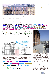

*The Planning Permission Elevations showed a row of small trees in the nine-ton single-unit black concrete planter-'capitals'. Seven show in this elevation, and two are on the opposite side of the Ark-making nine in all.*

**JOA's Architecture was the only one on offer which could award its users these opportunities for self-knowledge, and even selfpromotion. But such is the total iconic illiteracy of our Public Culture that a conversation on the matter did not even begin. The subject proved, even after five years of working together, as lifeless as a cadaver. "Capital", was something one did not spend. It never became, even after masses of reports and sketches, and even BEING BUILT,**

**the head of a columnar Order!**

The idea that ones lifespace could be scripted with meanings beyond the customarily moronic, and the downright commercial, seem to engender the desire to erase all such levitations.

*The glossy black concrete planter-capitals, aka jardineres, had been cast in single, eight-ton, pieces. This ensured their water-tightness. The plants would not water-log because a drain-hole led from each planter onto the roof. Two small holes had been cast into the top-side of the plantercapital. They lay at the end of the 'Y'-shaped recessed grooves which housed and protected the automatically-controlled irrigation-pipes, which were fed, by gravity, from a tank in one of the brickwork Sixth-Order Columns along the Gallery.*

**The tanks and the supply-piping were never installed. The cost-saving was fractional. The roof was paved in the cement tiles used to hold down polystyrene slabs, and then bordered with the round river pebbles used for the same function. The roof became used mainly for outdoor 'smoking'. The giant planters collected the butts and the old Coca Cola tins. They became oversized dustbins.**



*The proposed Roof Garden on top of the 'Ark' Block is sheltered from the wind by having buildings on both sides that effectively 'lift' the currents off its plants.*

The scripting of the Gallery Floor was erased. The scripting of the Forecourt Floor was erased. Now the whole Roof Garden was gone.



*To allow for whatever might eventually be designed I specified an Erisco-Bauder 'Green' roof - the most costly on the market. By this I avoided condensation staining a cement ceiling. It has not one but two waterprooof membranes to keep its insulation dry. It has a copper foil to prevent roots growing down through it. Earth placed onto it retains a layer of 'groundwater' moisture, trapped within pockets in the roof construction which evens out extremes of humidity. It was the 'Rolls-Royce' - or perhaps one should say, 'the Merc.' of 'green roofs'. This shot shows the rubber membranes and the 8 ton glossy-black, jardiere-capitals.*

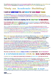**The justification made for these trivial acts of conceptual vandalism, that came when the body of the building was entirely conceived, documented and contracted, not to mention mainly built, was that the Judge was:-**

# "Only an Academic Building".

### I could not understand this, and looked for some deeper reason.

**For I had found, back in 1991, when JOA joined the project as its Architect, a 'Department of Management' originating from Production Line Engineering in Cambridge's highly-regarded Faculty of Engineering. It was housed, very modestly, in part of the industrial building previously used by the University of Cambridge Press.**

### I had understood, from the very beginning, that the 'Judge Project' had high ambitions.

It was intended, with initiatives from the highest levels of British Commerce, to attract the best minds in Britain into Industry, Manufacturing, Trade, Commerce and whatever else it was through which Britain, not so long ago, had ruled the World.

*The sense that I received from the eminent businessmen who were promoting this project was that Undergrduates who both liked to use, and were capable of using, their minds, did not think of Commerce as their first choice for an adult career. They thoght of Academia if they were almost impossibly clever, A Profession might attract them, or Politics or one of the Arts if a living could be made. Anything was preferred to manufacture, sales or whatever went on in the Industrial Estates or 'Administrative Town Centres' to which Post-War British Planning had consigned the politically troublesome 'Working Class' whether the collars that chained them were Meritocratically white, or haptically blue.*

#### What sort of person who had now travelled in 'Old Yurrup' now actually WANTED to live in the PSEUDO-YANKEE hutlet-belt of crinkly-tin warehouses and plate glass admin. blocks prescribed by Attlee's 1947 'Redevelopment of Central Areas'?

**The grandeur of the Old Addenbrooke's Hospital had been welcomed by the Promoters as an appropriate vehicle in which to sail on this 'fishing for brains' expedition. The 19C Hospital was infinitely more cultured than the Faculty of Pharmacology next door. This latter was the invention of CUEMBS - the University's own Building Surveyor's Department. It was dire. Such was the monkish disdain of the Cambridge Dons for 'show' that they allowed mere Surveyors to design their Faculties. The Promoters summarily dismissed the first Project Manager fielded by CUEMBS. Both the Promoters, and we in JOA, understood that if the worldly ambitions of a top Business School were to succeed, more would be needed than phenomenal brains sitting on battered stacking-chairs, on asbestos-tile floors in beige-painted rooms lit by 8'0" fluorescent battens.** 

### **Why then was there this complete collapse of effort at the final hurdle - that of 'decoration'?** I CONSIDERED FOUR REASONS

1. it broke the taboo, which i have already begun to explore, on 'looking poor', even when one was not.

**Perhaps I was mistaken in thinking that one of the attractions of commerce, and the only one remaining today, is that one might be better paid than in any other career. I should have known better. My explorations as one of the Judges, for five years, of the Industrial Architecture prize given by the Financial Times, had taught me that commerce also plays the 'Arte Povera' game. I recalled the Bedfont Lakes IBM H.Q. by Hopkins. Every office in this ostenatiously steel and glass building, had a frameless glass door. Each of them cost, back in 1993, some £500. I thought, at the time, "but this was the cost of my iconicallystructured, three-colour densely-patterned, hand-crafted veneered doors at Wadhurst"! Then I thought to myself "yes, but what would the shareholders think?" The veneered doors look luxurious because they are 'decorated'. For one can see that they are just an ordinary flush timber door-blank, such as one has anywhere, but lavished with a huge amount of extra human labour.** 

### The glass door, on the other hand, just 'is itself'.

**(It required huge capital investments in its 'technology'. But that was O.K. Capital was good. Labour was bad.)**

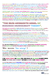**Maybe this is why, in IBM, the glass table, really does have, in almost every office, that incredibly dumb placard saying "THINK"- in caps! In fact, as I thought after the visit. "This is quite clever. The shareholders think IBM is being frugal with its steel and glass box. But those in the know understand how much a frameless toughened glass door really costs. So they know that IBM is not short of money". The Predators are warned off and the Owners mollified, while IBM employees live in a crude, subliterate and savage lifespace unfit for their evident intelligence.** 

#### Although how long intelligence survives a cretinous lifespace is a question that does come to mind.

**The received wisdom teaches that a life devoted to 'Business' renders one financially rich but culturally poor. The place to contradict this was the Judge. I was always convinced of this, as were some of the Professors. Had I not, after all, just after being awarded the contract, and on my first 'briefing' by the Professors of the Institute, been invited to a lecture on the History of Management Theory given by a Professor from the University of Hawaii. His theme had been the demise, in the 1980's, of what he called:-**

### "the Rand Megadeath Model of  $\mathbb{R}^\mathbb{N}$ business Management theory".

**The Professor recounted how, before the '80's, Management Theory was seen mainly as numbercrunching. But when, in the 1970's Japan overtook Germany as the world's second biggest economy, the paradigm changed to one prioritising 'culture'. It was, at that time, the 'new idea'!** 

**I nearly jumped out of my seat! For I well recalled that those early 1980's were also the time that brought an end to the Leslie Martin project, begun in the late 1950's, to found Architectural Theory upon Mathematics. This was exactly when Dalibor Vesely asked me to be his 'Practitioner', across the road at the Scroope Terrace studios of the Cambridge's Faculty of Architecture! I found clever undergraduates, in 1982, who still drew everything in hard pencil and had never heard of Lous Kahn. Cambridge Architecture was like some Polytechnic for Space-Plumbers. Vesely took over the intellectual lead from the Haptic Positivists of the parochial, small-town, pitched-roof, timber-framed, 'Fenland Pragmaticals', and closed, for twenty years, the 'Mathematical' umbrella that sheltered their studios from Architecture's intellectual culture - such as it was then - and the real world of the late-20C's shattered cities.**

Now, here was a Professor from the other side of the globe, demonstrating a paradigmatic synchronicity between my own world and that of the people for whom I was just beginning to create a lifespace.

### We were 'in step' !

**So why, when I had clearly demonstrated, with the pages and pages of painstaking iconographical 'translations' (shown in the preceding lectures) were my Client Body still confusing what they called "my patterns" with the vulgar idea that Decoration equals Luxury? Why could they not accept that transferring laser pigment onto plaster tiles was not the 'buon fresco' that they, in what I could only consider a very complete confusion, insisted that was used, for hundreds and thousands of pounds sterling, on the ceiling? Clearly it was not 'looking rich' that bothered them.**

#### **It was looking symbolic that freaked them. COULD THIS BE, AS PAUL RICOEUR SO AMIABLY ADVISED, BECAUSE "THE SYMBOL LEADS TO THOUGHT"? But what is 'culture' if not symbolic THOUGHT?**

It was the huge columns covered in mazy designs which my iconic notes indicated to be overflowing with mysterious ideas (that would be commonplace to anyone interested in iconic history) that instilled the "fear and loathing".

I had done my best to prove that decoration could be 'surface-scripting' - a way of mediating ideas, as it had been throughout 9,000 years of Architecture. But I had totally failed to persuade My British Business Client Body that this gave them the chance to demonstrate the new, post-Japanese, Management Theory Paradigm that 'culture' (even Kultur) was very much a part of 'business'. Could it be my Clients feared 'ideas' as such?

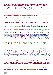#### 2. joa were not the firm to transform the despised medium of 'decorating' into the intellectually-creditable medium, or even parlour-game, of 'surface-scripting.

**I am not of this opinion. For I know as I script this now that JOA have succeeded, all on our own, in doing what needed to be done. JOA have proved 'Surface-Scripting' - even if, as one may hope, others do it better in the future. "Who", I thought while facing the complete ruin of my life's project, "is there to whom I can turn for help? My 'Business' Client Body could have called on the services of anyone in the Arts and Sciences. Yet either they seemed reluctant to see the profit for their project in the 'Sixth Order' tools that I had placed in their service, or, and I could not tell which, they were so persuaded of the irredeemable intellectual dullness and cultural barbarity of their own world of Commerce, that they were afraid to put these tools (as Heidegger would have said) 'to work'.**

*I would have accepted , at this time, the work of almost anyone on the internal surfaces of my building - so desperate was I for the 'proof' that what I had invented was 'practical. After all, there was no Profession of 'surface-scripters' so what was there for me to lose?*

#### 3. what we were proposing was not architecture at all. it was art,

### It was, therefore, inappropriate for JOA to design it. Concerning this we were advised:

## "John, Art must be meaningless".

#### **I saw, then, that my fate was sealed. ILLITERACY had become an imperative!**

**I should not have been surpriised! Who was not iconically illterate today? But why were the 'Traditional' 'worksof-art, that the Client Body so admired, created if it was not for their meaning? The 'Art' part of it was only to give the 'meaning' 'horsepower. I had intended to give this derived (unlike the 'Deconstructed Picturesque') a happy interment by gracing the columns of the Gallery with 3000 A3 aleatory compositions derived, unlike the 'Deconstructed Picturesque'. from reasoned (if arcane) parentages. I had hoped to rebuff Benjamin's hand-crafted "Aura of the Work of Art" with this demonstration of a graphical and (this was the Novelty), conceptual 'SPLENDOR'.**

#### My office thought, at one time, of having our business cards overprinted with the slogan "Museum Quality Guaranteed".

This was after a friend from SOM called me. "John", his voice said down the line, "I hear you are designing a Museum in Houston". "No," I replied, "its (only) a Faculty of Engineering". "Oh", he said, "Gerald Hines said it was a Museum. He wanted to know if you were good enough. I said you were". I understood, just then, how far the miasmal ethical rot of 'Art' had spread. Gerald H. was the Houston realtor who introduced to the USA, and then to Britain, the French practice of hiring a 'Design Architect' and an Executive Architect to work in harness. Designing a 'Museum', in which even a half-decent composition is invariably messed-up by having it wildly 'over-furnished' as a *cabinet de curiosites*, is someting to which no intelligent Architect should ever aspire. The proof of this is Liebeskind's Holocaust Museum in Berlin, where the composition of the Architecture reaches a level of such terminal chaos that filling it with any sort of 'reasoned' exhibit becomes impossible (or so an Israeli General advised me). And what needs 'reasoning-out' more than the Holocaust - and all such genocides?

**But I thanked my friend for his kind recommendation and said that we "preferred, as he did, the World of Work" where, as we later proved, it was possible to make a lifespace that was as mechanically practical as it was ontically appetising .**

#### 4. that it was wrong to attract these bright cambridge minds into commerce by giving them the impression that working in 'trade' would provide a cultured and civilised life.

**The Faculty of Management should be decorated with simple forms and plain materials so as to train its graduates for a life of hard work, keen thinking and service to their company.**

### If this was our 'error' then it was my Clients who were mistaken.

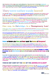**The Promoters of the Judge were multi-millionaires. They had come to Cambridge looking for Minds. In commerce one becomes accustomed to obtaining what one requires by paying for it. The 'minds' at Cambridge were naturally gifted, certainly. But they got what they wanted by working for it. These were agile intellects which welcomed conceptual challenges.**

# They were rather easily bored!

**They give their 'service', if at all, to no-one except their intellectual superiors. In short they were as hard to 'breakin' and 'employ' on some menial task as any thoroughbred. If one wanted to bind them to one's trade one must provide them with a world which gave their minds stonger meat than the mere tabulae of profit and loss.**

**The Judge School of Management, or Business as it subsequently became, is a lesser quantity than the University of Cambridge. It may not think so. But it is. Students who come to it come to Cambridge before they come to either 'Business' or 'the Judge'. This priority has to be signified. They come to study what 'Business' looks like when seen from this University. They have to come to understand, above everything else, that the priority of this University, as of all others of its calibre, is the intellectual life - the life of Theory. This can be symbolised in various ways.**

### One way, in Oxbridge, is a 'Sumptuary Law'.

*It places the Colleges, in which the intellectual life is programmed to flourish, in much finer buildings than the Faculties. It is why Architects are obtained to design the extensions to the old College buildings and the University's own, architecturally sub-literate, Surveyors are allowed to design Faculty-structures.* 

**International Schools of Business Administration, on the other hand, provide Cordon Bleu Chefs to lunch the over-paid Managers that they hope to attract to their over-priced courses. Their buildings have a slick, iconically vacuous, airport-style, gloss which, they believe, will make the Manager feel that he is already on the escalator which will take him to the penthouse boardroom. The metrication of these places, their system of class, and classes, is fiscal. The Managers are over-paid because it is thought that this gives them authority, by virtue of outranking everyone else's remuneration, to direct the actions of persons of whose work, and work-culture, they know little and are obliged (by their Profession), to care less.**

### Science as Numbers plus Moneyas Power equals 'the Business of Management'.

*How did late 20C Commerce hope to attract anyone of any intellect to such an ethos? The only one's who will come to them will join on a strictly piratical basis. They will be the ones who have understood that reward and promotion in commerce is given on a narrowly fiscal basis. Evidences lay easily to hand that they became sharks whose easiest prey was the company that hired them!* 

They will do their best to buy it out, asset-strip it of all the unremunerative parts which made belonging to it a civilised life-experience. They will destroy the morale and loyalty of its staff-members, make them work only for money, and ruin the firm.

I was under the impression that my Client Body understood the sort of people that they were 'fishing for'. I understood that they knew that highly ingenious and clever people needed to be given an ethos which they respected - morally and intellectually. Surely everyone in the world knows that a man with a top-class mind who is shown the levers of power and allowed to work them purely for some singular end, especially one so inhumanly abstract as mere profit, becomes a danger to all around him?

### WHO DID NOT KNOW OF THE RISE OF THE CORPORATE RAIDER?

*I had worked for twenty years to invent my Sixth Order for the precise reason that a stable culture needed to manifest itself, to show itself, and to demonstrate itself - to its own members if to no others. Where more necessary was it to do this than in its quotidian lifespace, and where more natural a place than to enact this everyday 'theatre' than in a society's own institutions?*

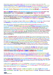What better opportunity to show a lead in the very old, yet today, at the end of the 20C, intellectually-defunct medium of Architecture than the new 'School of Management' in one of the "Nation of Shopkeepers"' most respected seats of learning? Nor were we speaking of some very remote arcana, understood only by a very few. For what was 'Management' but 'Government'.

How could a Faculty of Management pretend to be dealing with less then life itself, as it is concretely lived.

#### Was its object merely to massage figures into computers so that the boardroom took the decisions the computer 'told' it to take?

But then, I began to ask myself why have all 'Business' buildings, buildings from which organisations are governed, become, as the 20C has gone by, more and more bland, glassy, laconic and inscrutable. It can be for only one reason - that the ethic which governs its orgnisations must remain hidden. There **is a taboo on demonstrating their culture. But if a thing is not revealed, a word not spoken, it fades and dies away in self-imposed obscurity, to vanish from the artifice of the human logosphere.**

#### *If the Judge was going to inject this amoral ethos into Cambridge then it had no business, as many in the University already thought, to be there.*

**I knew that my Client Committee was well aware of this intellectual hostility, not to say enormous distaste, for 'business'. The English intellectual community tended to look back to the first post-WWII Socialist administrtion of Clement Attlee as the moment when it held the reins of power. Accustomed to running the 'command economy' of WWII it put into effect the Social State plan designed by the austere William Beveridge (he took a cold bath every morning). But their rule had ended, not merely because administrations always rotate, but because the Oxbridge Intelligentsia, and the upper class from which it was mainly drawn, despised the more popular arts, and especially those of the 20C. Their rule was ambushed by the emergence of the 'Pop Art' in the 1960's. The pipe-smoking, suburban-semi, carpet-slippered 'little man' who Clement Attlee pathetically admitted that he was when he retired from the Prime Ministerial Office, remarked that "he was standing down because he no longer knew what young people wanted". He spoke for Oxbridge too.**

**Oxbridge's self-inflicted wounds, even after 40 years, still bled. The Ex-Imperial Administrative Aristocracy, led by such as Gaitskell and Cripps, had treated the post-Imperial English like one of their 'Subject Peoples'. The Brit. 'Natives' de-colonised, as the others had done, by refusing the 'style' of their 'Rulers'. But this 'Tribe' had no other High Culture. So the post-WWII Brits ended up with none. The Class who valued Britain's intellectual inheritance were marooned as 'posh' poseurs. The metropolitan, workmanlike and craftsmanly culture of the manual workers was equally emasculated by the self-same ex-ICS. Civil Service Mandarins. Burgeoning in-between, chosen by a Meritocratic Trahison des Clercs, freed from both the native High Culture and 200 years of industrialised craftsmanship, was the newly-predatory Middle Class of "hommes, moyen, sensuel". Where, into this dismal history, canonised by the Thatcher Regime, would fit the Cambridge University School of Business Management?**

JOA's design allowed despised 'Commerce' to bring the old 'High Art', in its most extremely 'elite' form of 'Classical Architecture', via a home-grown British Pop-Art, into a 'working' relationship to the equally 'high art' of Continental European 20C Modernist abstraction. I offered the Business School the opportunity to mediate a synthesis of the 'two cultures'.

**The 'Two cultures' was a Notion coined in the very University into which they were introducing themselves with such huge public display. For what did the Sixth Order do but signify the idea that the superstructure of culture rested squarely on no other agent but Man himself, as defined by Science in all his 'evolved' reality, from a creature born of the marine slime 'up' into the only mammal capable of fabricating the iconolocutory cults of 'civilisation'.**

I offered them, indeed had already built them in the hypostylar 'Gallery', a Modern re-invention of the 'Occluded Temple' of the peerless Giovanni Battista Alberti. Not only had no-one, up to that time, even conceived of this Architectural entity and essential urbanistic tool, no-one had come close to bringing it to a palpable, present, reality.

*I offered them the opportunity, as well as the technology, to write upon its surfaces the story of not merely what the Judge was and what it wanted to be - or Cambridge was and wanted to be, which, in the great scheme of things mediated by Architecture, as such, are trivial subjects - but to write about all the things which Man had been, and now could become.*

This *'tempio'*, which anyone could recognise as such, both internally and externally, was the 'Space of Appearances' of the "Business School".

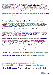**I had proposed that they inscribe, on the wide marbled floor, a 'boat' that was also an 'eye', that was also the 'birth-orifice' that sailed across the intertwining Snakes of Infinitude on the floor of Hypostylar Pre-temporailty. On this boat, with its raised quarterdeck of stairs to fore and aft (which was which?), the Institute could spread a long table and feast (as in the** *Symposion***), the anniversaries of its Calendar, beginning with the foundation of the Judge itself. The tiers of terraces, boxes and (seminar-) balconies were a theatre on which could be enacted the hundred and one rites that create the living 'body' of an Institute's Being.** 

### What more perfect place to **enact** these rites than the actual lifespace of the institute itself?

This was not some princely banqueting hall, remote from the quotidian vitality. I had given this 'Faculty of Commerce' its primordial origin, the theatre of the 'banc' that was the Bank and the Coffee House that became the Exchange.

### It was that most 'Pop' of 'artforms' - Street Theatre.

Yet these nervous shopkeepers, concerned what "people might think", treated it like an 'art gallery' and complained that I was "using purple on the walls". The colour Green also came in for a taboo, but not as definite as Purple! In fact the purple was a pale violet for a ceiling colour scripting (rather feebly I admit) 'a far distance'.

But without the use of 'pattern' [as it was disdainfully described by the Client Body] one's ability to 'script' was as vocal as a mute's to sing.

**I was, at this time, asked by Adam Hardy, Britain's leading authority on the Hindu Temple, to act, for the University of Wales, as one of the four External Examiners who inspected, every year, the new Academy of Architecture established under the patronage of HRH The Prince of Wales. Adam, who was the Director of Studies when I accepted the duty, was removed, the following year, by a Palace Coup effected by a group of English Neo-Classicists.** 

### **I accepted Adam because he ran a wonderfully polycultural curriculum.**

**It had something of the Manhattan 'Method-Acting' in it. For when the students designed a Hindu Temple they would listen to Indian poetry and music. They would dress in Indian clothes and eat Indian food. The same for a Mosque, and one may presume, for the thenwidely-fashionable 'interventions into the Baroque 'Nolli Plan' of Rome. He obtained, from his students, a beautiful model of a Buddhist Stupa in full colour, as well as a coutryard-full of terra-cotta models of the febrile ornaments of the Vedic temple. Whatever else it was, it was Architecture, and it was fun - certainly more fun that the drivel being taught in the 'officiallyauthorised' Schools. The School was totally polycultural in its intake. It was located in London, by now an even more polycultural global metropolis than it had already been for centuries. But how does one teach Architecture to total novices when one has no 'canonic' version of one's own?**

**At least P.O.W.I. was a thorn in the side of the 'Authorised' Architectural Illiterates.**

### I recall falling asleep during some presentations up at Cambridge.

**I was one of the the External Examiners for the First Year and very tired from my 'Ordeal by Fiat Nihil' in the Judge over the road from the Faculty of Art History and Architecture at Scroope Terrace. I heard, as I awoke, the Tutors of the First year saying of their cleverest Undergraduate: "Oh 'X' (I think he had a German name), next year he will be doing 'the Presence of Absence' and in the Third he will commit suicide". I pretended not to wake up as I contemplated the awful futility of a pedagogy in which nothing of Architecture was taught.**

# I compared it to my dying struggles acoss the road. After the Classicists' Putsch I watched P.O.W.I. as it also died.

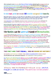**After running for some ten years, the Prince of Wales' Institute plucked-up the courage to invite an examination from the Royal Institute of British Architects. Its request to them was for the degree awarded by the University of Wales to be certified as sufficient to qualify for Part II of the RIBA's three-part obstacle-course to becoming someone legally capable of bearing the title of 'Architect'. No one was expecting the first application to succeed. The RIBA had never forgiven HRH for unfavourably comparing the Architectural Profession's post-WWII buildings to the wreckage left by Herman Goering's blitzkreig on Britain.** 

### For which remark, and this hurt even more, HRH received the vocal approval of the Common Man.

What did surprise, however, was the discovery that History was the weakest subject in the POWI Student's suit of examination subjects. The espousal of 'Classical Architecture', back when the Putsch ousted Adam Hardy, was an a-historical return to the *status quo ante* WWII.

**The Hellenic and Roman Orders were learned by rote and applied to everything that came within the frame of the Architect's canvas.**

**Epistemologically, the project might be termed a 'theory' and, as Levi-Strauss would have advised, to be deemed neither 'right' nor 'wrong'. Its value was in its 'testing'. Ironically, when one thinks of the pedagogic effect of the pumped-up conceptual pedigrees of 'Critical Theory', the P.O.W.I. Students left with many more useful insights into the practice of Architecture than one might expect. I cannot doubt that it was a more rewarding education in Building, City-planning and Architecture, and even Decoration, than a student received from most of the other 'RIBA-Approved' Schools of Architecture extant at the time.**

# The Nineties saw the universal triumph of Deconstruction.

I recall being asked by the Professors of a well known Architectural Academy: "John, can you explain the work of Liebeskind to us?" back in 1992 I had to reply to the effect that I was, perhaps fortunately, too busy to have thought about it sufficiently to 'explain' it to them. It was not until I began to script these lectures that it bcame necessary to 'theorise' the Deconstructivists.

**But, as Bosquet said of Balaclava, "C'est magnifique, mais ce n'est pas la guerre". Ramrod-straight Anglo-Classicism, out of Burlington's asceptic cookbook, hardly 'worked' in the 18C (when compared with its achievements elsewhere). It was soon overwhelmed by 19C Nordic-Gothick, Freestyle, Art Nouveau and everything else, not to mention Modernism. Neo-Classicism has been 'arising, sort-of-working, and then failing' ever since Octavian Caesar. Will it go on resurrecting and then dying away for ever?**

One imagines the scene in Tvardovsky's Solaris when the Protagonists dead wife re-manifests as a corporeal presence and he says: "I am getting so tired of these resurrections".

### THE FACT WAS THAT P.O.W.I., had NO SENSE OF HISTORY !

### **SO how different were the Neo-Classicists who had supported my appointment to design the Judge?**

For they too, were disturbed by the idea of covering the giant columns in surface-scripted 'bales of text'. Harris had confirmed that the Burlingtonians had never created a painted interior to compare with those of Continentantal Europe. Even the more relaxed, better informed and adventurous 19C had failed to make anything iconically serious of 'surface-scripting'. Poor Christopher Dresser had even tried to determine the 'species' of the gilded flower at the centre of the Classical Ceiling Coffer! My Neo-Classicists protected themselves by placing a taboo on any 'modern' graphical techniques. I knew of much cheaper alternatives, but I worked with Inigo Rose, a young Buon-Fresco painter, to design and paint the ceiling.



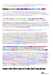**I replied that "surely they did not imagine that Ictinus would ever have used bulging, solid stone, columns if he could have filled them with machines?". "Think of Philo's automatic templedoors", I suggested, "that opened when the sacrificial fire was lit".**

# Bulging a column was only done to make it look 'alive'.

**It was the same reason why Ictinus stained, painted and mirror-polished the whole flying-around Acropolis-Athena-Hotel. The received theory that the geometric distortions of the Parthenon were installed so as to make everything look regular and straight was on a par with the trivial idea that the purpose of Doric Architecture was to illustrate the way it was originally built out of wood. But this is what English Neo-Classicists believed in the 18C, and it is what they believe today.**

### A 'Sixth Order' was altogether too much for them. They were not interested in anything an outsider would call 'victory'.

They hated 'Modernism' so much, and (proudly) knew so very little about it that the idea that they might have to lead the real world towards some sort of 'historically-situated' goal filled them with a very well-deserved apprehension. It became clear to me that they preferred to remain apart from the World, ignored and useless to it, in their thriving little circle of preservationists and country-house builders.

Yet, in the present Age of Ignorance, one remains grateful for their existence. Even though they had become, themselves, part of the 'Fiat Niihil'.

*I understood that my work had fallen into one of those discontinuities which Anthony Sampson described in his 'Anatomy of Britain'. The British are free to entertain almost any idea that they please. It is why the culture remains so inventive. This freedom is protected by a rigorous cult of Privacy. This is the oil that enables all these wildly disparate thoughts to rotate against each other without ever meshing and turning into some larger engine. One such Architectural Engine is the Preservation-oriented, Neo-Classical (but also Neo-gothic and Neo-anything-one-likes) tendency. It has a past but denies a Future (if it is different to the past, that is). Another such Engine is that of the Radical Modernists who believe that 'the past' is an infection which, once acquired, is fatal to creative invention. Cultural building projects in contemporary Britain will appoint an Architect from each camp. They meet, typically, at a boundary crossed by stainless steel arms mounted on neoprene rubber bases. These isolate their very different physiognomies.*

### This 'pseudo-mating' insulates the Past from infection by the Future, and the Future from infection by the Past.

### By this means one ensures that the Present, in which we all live, will remain securely DEAD.

**I realised that the one thing that this culture regarded with absolute repugnance and horror was that the past and the future should mate, copulate and give birth to something as NEW AS IT WAS OLD - a living child of both. As for myself and my 'innocent' project from the 1950's, to invent a 'linguistically' universal Ur-Architecture so that a culture (any culture) could write its self-image on its own vital and urbane body - I had tried, time after time, for twenty years, to persuade a Client to understand that what was needed to bring Architecture into the service of an Urbanity that was being everywhere destroyed. I had brought to every sort of perfection a strange tool that Maxwell had asserted was a New (Sixth) Order. Now, finally, in Cambridge of all places, I had built it in a technically capable form. Everything was prepared for the final victory. I had even taught myself (a mere Architect) how to generate the surface-scripting that was necessary to make 'real' the truths of our time. I had not avoided recognising these as the 'positive' phenomenologies of the human phylogeny and ontogeny which authenticate 'Modernity'. I had used easily recognisable elements of the natural world as metaphors to this end. Now, with this very public 'fiat nihil',** 

# I knew, after thirty years of trying, that it was all over.